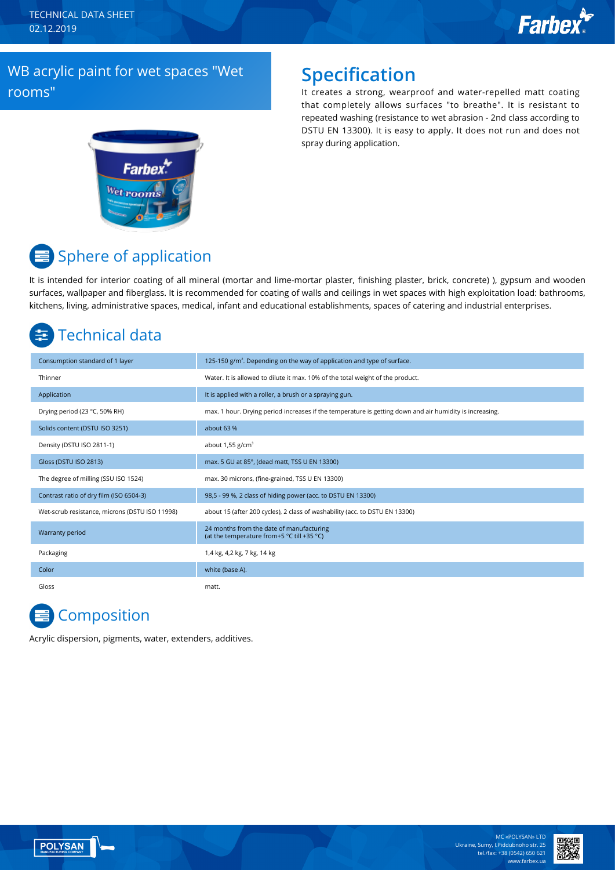TECHNICAL DATA SHEET 02.12.2019

# **Farbex**

### WB acrylic paint for wet spaces "Wet rooms"

### **Specification**

It creates a strong, wearproof and water-repelled matt coating that completely allows surfaces "to breathe". It is resistant to repeated washing (resistance to wet abrasion - 2nd class according to DSTU EN 13300). It is easy to apply. It does not run and does not spray during application.



# **■ Sphere of application**

It is intended for interior coating of all mineral (mortar and lime-mortar plaster, finishing plaster, brick, concrete) ), gypsum and wooden surfaces, wallpaper and fiberglass. It is recommended for coating of walls and ceilings in wet spaces with high exploitation load: bathrooms, kitchens, living, administrative spaces, medical, infant and educational establishments, spaces of catering and industrial enterprises.

## Technical data

| Consumption standard of 1 layer                | 125-150 $g/m2$ . Depending on the way of application and type of surface.                               |
|------------------------------------------------|---------------------------------------------------------------------------------------------------------|
| Thinner                                        | Water. It is allowed to dilute it max. 10% of the total weight of the product.                          |
| Application                                    | It is applied with a roller, a brush or a spraying gun.                                                 |
| Drying period (23 °C, 50% RH)                  | max. 1 hour. Drying period increases if the temperature is getting down and air humidity is increasing. |
| Solids content (DSTU ISO 3251)                 | about 63 %                                                                                              |
| Density (DSTU ISO 2811-1)                      | about $1,55$ g/cm <sup>3</sup>                                                                          |
| Gloss (DSTU ISO 2813)                          | max. 5 GU at 85°, (dead matt, TSS U EN 13300)                                                           |
| The degree of milling (SSU ISO 1524)           | max. 30 microns, (fine-grained, TSS U EN 13300)                                                         |
| Contrast ratio of dry film (ISO 6504-3)        | 98,5 - 99 %, 2 class of hiding power (acc. to DSTU EN 13300)                                            |
| Wet-scrub resistance, microns (DSTU ISO 11998) | about 15 (after 200 cycles), 2 class of washability (acc. to DSTU EN 13300)                             |
| Warranty period                                | 24 months from the date of manufacturing<br>(at the temperature from+5 °C till +35 °C)                  |
| Packaging                                      | 1,4 kg, 4,2 kg, 7 kg, 14 kg                                                                             |
| Color                                          | white (base A).                                                                                         |
| Gloss                                          | matt.                                                                                                   |

# **Composition**

Acrylic dispersion, pigments, water, extenders, additives.